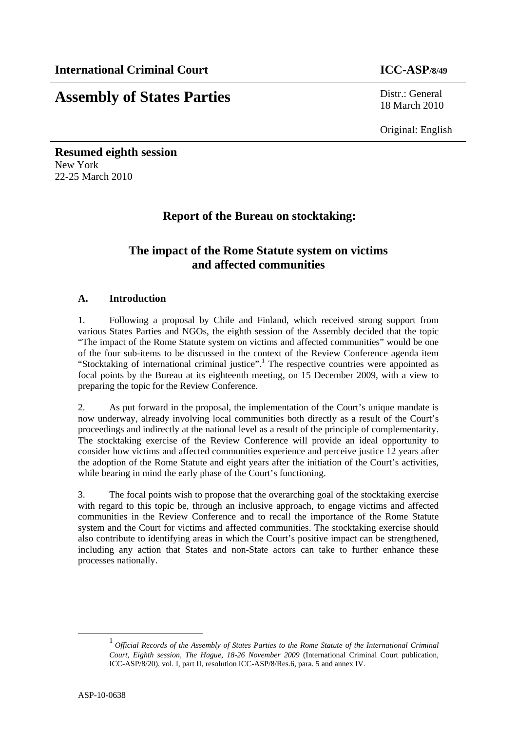# **Assembly of States Parties** Distr.: General

18 March 2010

Original: English

**Resumed eighth session**  New York 22-25 March 2010

# **Report of the Bureau on stocktaking:**

# **The impact of the Rome Statute system on victims and affected communities**

### **A. Introduction**

1. Following a proposal by Chile and Finland, which received strong support from various States Parties and NGOs, the eighth session of the Assembly decided that the topic "The impact of the Rome Statute system on victims and affected communities" would be one of the four sub-items to be discussed in the context of the Review Conference agenda item "Stocktaking of international criminal justice".<sup>1</sup> The respective countries were appointed as focal points by the Bureau at its eighteenth meeting, on 15 December 2009, with a view to preparing the topic for the Review Conference.

2. As put forward in the proposal, the implementation of the Court's unique mandate is now underway, already involving local communities both directly as a result of the Court's proceedings and indirectly at the national level as a result of the principle of complementarity. The stocktaking exercise of the Review Conference will provide an ideal opportunity to consider how victims and affected communities experience and perceive justice 12 years after the adoption of the Rome Statute and eight years after the initiation of the Court's activities, while bearing in mind the early phase of the Court's functioning.

3. The focal points wish to propose that the overarching goal of the stocktaking exercise with regard to this topic be, through an inclusive approach, to engage victims and affected communities in the Review Conference and to recall the importance of the Rome Statute system and the Court for victims and affected communities. The stocktaking exercise should also contribute to identifying areas in which the Court's positive impact can be strengthened, including any action that States and non-State actors can take to further enhance these processes nationally.

 <sup>1</sup> *Official Records of the Assembly of States Parties to the Rome Statute of the International Criminal Court, Eighth session, The Hague, 18-26 November 2009* (International Criminal Court publication, ICC-ASP/8/20), vol. I, part II, resolution ICC-ASP/8/Res.6, para. 5 and annex IV.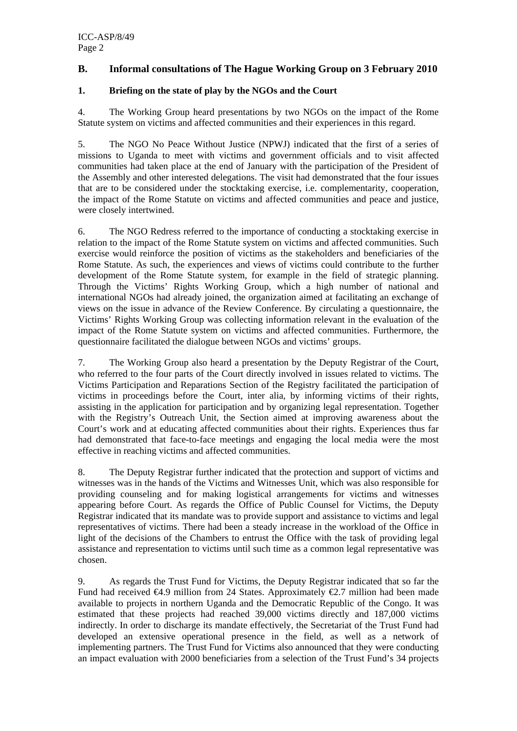### **B. Informal consultations of The Hague Working Group on 3 February 2010**

#### **1. Briefing on the state of play by the NGOs and the Court**

4. The Working Group heard presentations by two NGOs on the impact of the Rome Statute system on victims and affected communities and their experiences in this regard.

5. The NGO No Peace Without Justice (NPWJ) indicated that the first of a series of missions to Uganda to meet with victims and government officials and to visit affected communities had taken place at the end of January with the participation of the President of the Assembly and other interested delegations. The visit had demonstrated that the four issues that are to be considered under the stocktaking exercise, i.e. complementarity, cooperation, the impact of the Rome Statute on victims and affected communities and peace and justice, were closely intertwined.

6. The NGO Redress referred to the importance of conducting a stocktaking exercise in relation to the impact of the Rome Statute system on victims and affected communities. Such exercise would reinforce the position of victims as the stakeholders and beneficiaries of the Rome Statute. As such, the experiences and views of victims could contribute to the further development of the Rome Statute system, for example in the field of strategic planning. Through the Victims' Rights Working Group, which a high number of national and international NGOs had already joined, the organization aimed at facilitating an exchange of views on the issue in advance of the Review Conference. By circulating a questionnaire, the Victims' Rights Working Group was collecting information relevant in the evaluation of the impact of the Rome Statute system on victims and affected communities. Furthermore, the questionnaire facilitated the dialogue between NGOs and victims' groups.

7. The Working Group also heard a presentation by the Deputy Registrar of the Court, who referred to the four parts of the Court directly involved in issues related to victims. The Victims Participation and Reparations Section of the Registry facilitated the participation of victims in proceedings before the Court, inter alia, by informing victims of their rights, assisting in the application for participation and by organizing legal representation. Together with the Registry's Outreach Unit, the Section aimed at improving awareness about the Court's work and at educating affected communities about their rights. Experiences thus far had demonstrated that face-to-face meetings and engaging the local media were the most effective in reaching victims and affected communities.

8. The Deputy Registrar further indicated that the protection and support of victims and witnesses was in the hands of the Victims and Witnesses Unit, which was also responsible for providing counseling and for making logistical arrangements for victims and witnesses appearing before Court. As regards the Office of Public Counsel for Victims, the Deputy Registrar indicated that its mandate was to provide support and assistance to victims and legal representatives of victims. There had been a steady increase in the workload of the Office in light of the decisions of the Chambers to entrust the Office with the task of providing legal assistance and representation to victims until such time as a common legal representative was chosen.

9. As regards the Trust Fund for Victims, the Deputy Registrar indicated that so far the Fund had received  $\bigoplus$ .9 million from 24 States. Approximately  $\bigoplus$ .7 million had been made available to projects in northern Uganda and the Democratic Republic of the Congo. It was estimated that these projects had reached 39,000 victims directly and 187,000 victims indirectly. In order to discharge its mandate effectively, the Secretariat of the Trust Fund had developed an extensive operational presence in the field, as well as a network of implementing partners. The Trust Fund for Victims also announced that they were conducting an impact evaluation with 2000 beneficiaries from a selection of the Trust Fund's 34 projects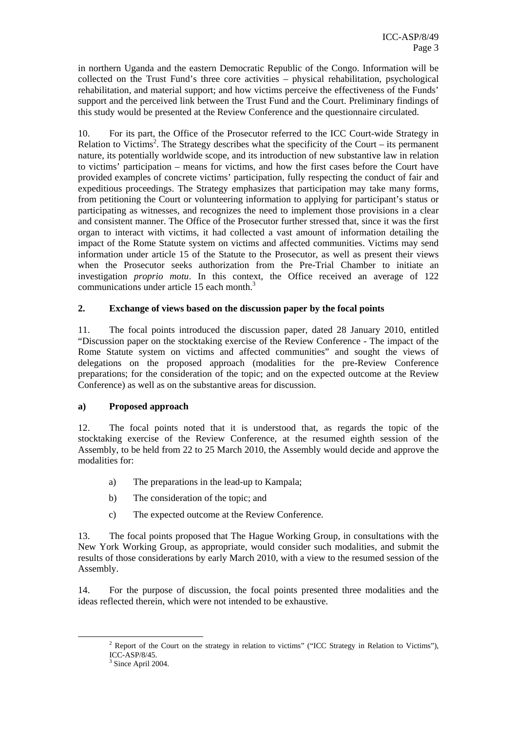in northern Uganda and the eastern Democratic Republic of the Congo. Information will be collected on the Trust Fund's three core activities – physical rehabilitation, psychological rehabilitation, and material support; and how victims perceive the effectiveness of the Funds' support and the perceived link between the Trust Fund and the Court. Preliminary findings of this study would be presented at the Review Conference and the questionnaire circulated.

10. For its part, the Office of the Prosecutor referred to the ICC Court-wide Strategy in Relation to Victims<sup>2</sup>. The Strategy describes what the specificity of the Court – its permanent nature, its potentially worldwide scope, and its introduction of new substantive law in relation to victims' participation – means for victims, and how the first cases before the Court have provided examples of concrete victims' participation, fully respecting the conduct of fair and expeditious proceedings. The Strategy emphasizes that participation may take many forms, from petitioning the Court or volunteering information to applying for participant's status or participating as witnesses, and recognizes the need to implement those provisions in a clear and consistent manner. The Office of the Prosecutor further stressed that, since it was the first organ to interact with victims, it had collected a vast amount of information detailing the impact of the Rome Statute system on victims and affected communities. Victims may send information under article 15 of the Statute to the Prosecutor, as well as present their views when the Prosecutor seeks authorization from the Pre-Trial Chamber to initiate an investigation *proprio motu*. In this context, the Office received an average of 122 communications under article 15 each month.<sup>3</sup>

### **2. Exchange of views based on the discussion paper by the focal points**

11. The focal points introduced the discussion paper, dated 28 January 2010, entitled "Discussion paper on the stocktaking exercise of the Review Conference - The impact of the Rome Statute system on victims and affected communities" and sought the views of delegations on the proposed approach (modalities for the pre-Review Conference preparations; for the consideration of the topic; and on the expected outcome at the Review Conference) as well as on the substantive areas for discussion.

### **a) Proposed approach**

12. The focal points noted that it is understood that, as regards the topic of the stocktaking exercise of the Review Conference, at the resumed eighth session of the Assembly, to be held from 22 to 25 March 2010, the Assembly would decide and approve the modalities for:

- a) The preparations in the lead-up to Kampala;
- b) The consideration of the topic; and
- c) The expected outcome at the Review Conference.

13. The focal points proposed that The Hague Working Group, in consultations with the New York Working Group, as appropriate, would consider such modalities, and submit the results of those considerations by early March 2010, with a view to the resumed session of the Assembly.

14. For the purpose of discussion, the focal points presented three modalities and the ideas reflected therein, which were not intended to be exhaustive.

 $\frac{1}{2}$  $2$  Report of the Court on the strategy in relation to victims" ("ICC Strategy in Relation to Victims"), ICC-ASP/8/45.

<sup>&</sup>lt;sup>3</sup> Since April 2004.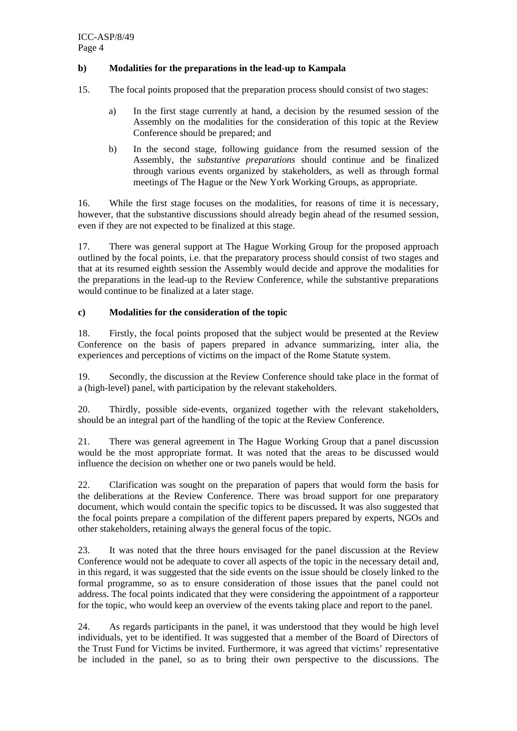#### **b) Modalities for the preparations in the lead-up to Kampala**

- 15. The focal points proposed that the preparation process should consist of two stages:
	- a) In the first stage currently at hand, a decision by the resumed session of the Assembly on the modalities for the consideration of this topic at the Review Conference should be prepared; and
	- b) In the second stage, following guidance from the resumed session of the Assembly, the *substantive preparations* should continue and be finalized through various events organized by stakeholders, as well as through formal meetings of The Hague or the New York Working Groups, as appropriate.

16. While the first stage focuses on the modalities, for reasons of time it is necessary, however, that the substantive discussions should already begin ahead of the resumed session, even if they are not expected to be finalized at this stage.

17. There was general support at The Hague Working Group for the proposed approach outlined by the focal points, i.e. that the preparatory process should consist of two stages and that at its resumed eighth session the Assembly would decide and approve the modalities for the preparations in the lead-up to the Review Conference, while the substantive preparations would continue to be finalized at a later stage.

#### **c) Modalities for the consideration of the topic**

18. Firstly, the focal points proposed that the subject would be presented at the Review Conference on the basis of papers prepared in advance summarizing, inter alia, the experiences and perceptions of victims on the impact of the Rome Statute system.

19. Secondly, the discussion at the Review Conference should take place in the format of a (high-level) panel, with participation by the relevant stakeholders.

20. Thirdly, possible side-events, organized together with the relevant stakeholders, should be an integral part of the handling of the topic at the Review Conference.

21. There was general agreement in The Hague Working Group that a panel discussion would be the most appropriate format. It was noted that the areas to be discussed would influence the decision on whether one or two panels would be held.

22. Clarification was sought on the preparation of papers that would form the basis for the deliberations at the Review Conference. There was broad support for one preparatory document, which would contain the specific topics to be discussed**.** It was also suggested that the focal points prepare a compilation of the different papers prepared by experts, NGOs and other stakeholders, retaining always the general focus of the topic.

23. It was noted that the three hours envisaged for the panel discussion at the Review Conference would not be adequate to cover all aspects of the topic in the necessary detail and, in this regard, it was suggested that the side events on the issue should be closely linked to the formal programme, so as to ensure consideration of those issues that the panel could not address. The focal points indicated that they were considering the appointment of a rapporteur for the topic, who would keep an overview of the events taking place and report to the panel.

24. As regards participants in the panel, it was understood that they would be high level individuals, yet to be identified. It was suggested that a member of the Board of Directors of the Trust Fund for Victims be invited. Furthermore, it was agreed that victims' representative be included in the panel, so as to bring their own perspective to the discussions. The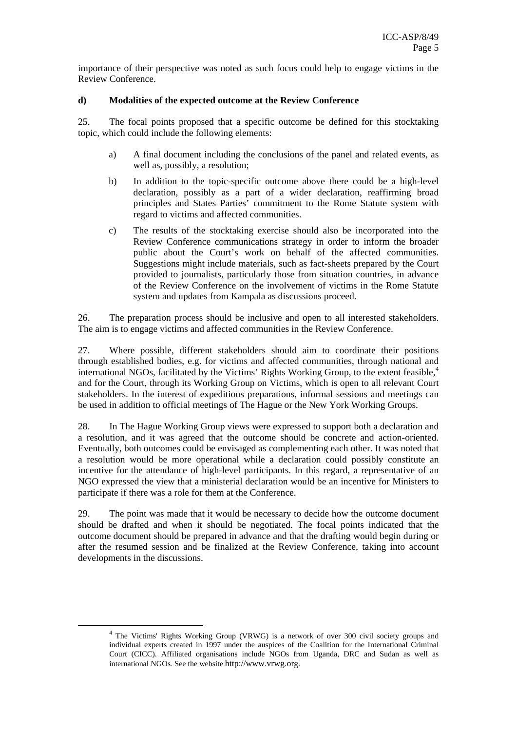importance of their perspective was noted as such focus could help to engage victims in the Review Conference.

#### **d) Modalities of the expected outcome at the Review Conference**

25. The focal points proposed that a specific outcome be defined for this stocktaking topic, which could include the following elements:

- a) A final document including the conclusions of the panel and related events, as well as, possibly, a resolution;
- b) In addition to the topic-specific outcome above there could be a high-level declaration, possibly as a part of a wider declaration, reaffirming broad principles and States Parties' commitment to the Rome Statute system with regard to victims and affected communities.
- c) The results of the stocktaking exercise should also be incorporated into the Review Conference communications strategy in order to inform the broader public about the Court's work on behalf of the affected communities. Suggestions might include materials, such as fact-sheets prepared by the Court provided to journalists, particularly those from situation countries, in advance of the Review Conference on the involvement of victims in the Rome Statute system and updates from Kampala as discussions proceed.

26. The preparation process should be inclusive and open to all interested stakeholders. The aim is to engage victims and affected communities in the Review Conference.

27. Where possible, different stakeholders should aim to coordinate their positions through established bodies, e.g. for victims and affected communities, through national and international NGOs, facilitated by the Victims' Rights Working Group, to the extent feasible, $4\overline{4}$ and for the Court, through its Working Group on Victims, which is open to all relevant Court stakeholders. In the interest of expeditious preparations, informal sessions and meetings can be used in addition to official meetings of The Hague or the New York Working Groups.

28. In The Hague Working Group views were expressed to support both a declaration and a resolution, and it was agreed that the outcome should be concrete and action-oriented. Eventually, both outcomes could be envisaged as complementing each other. It was noted that a resolution would be more operational while a declaration could possibly constitute an incentive for the attendance of high-level participants. In this regard, a representative of an NGO expressed the view that a ministerial declaration would be an incentive for Ministers to participate if there was a role for them at the Conference.

29. The point was made that it would be necessary to decide how the outcome document should be drafted and when it should be negotiated. The focal points indicated that the outcome document should be prepared in advance and that the drafting would begin during or after the resumed session and be finalized at the Review Conference, taking into account developments in the discussions.

 $\frac{1}{4}$ <sup>4</sup> The Victims' Rights Working Group (VRWG) is a network of over 300 civil society groups and individual experts created in 1997 under the auspices of the Coalition for the International Criminal Court (CICC). Affiliated organisations include NGOs from Uganda, DRC and Sudan as well as international NGOs. See the website http://www.vrwg.org.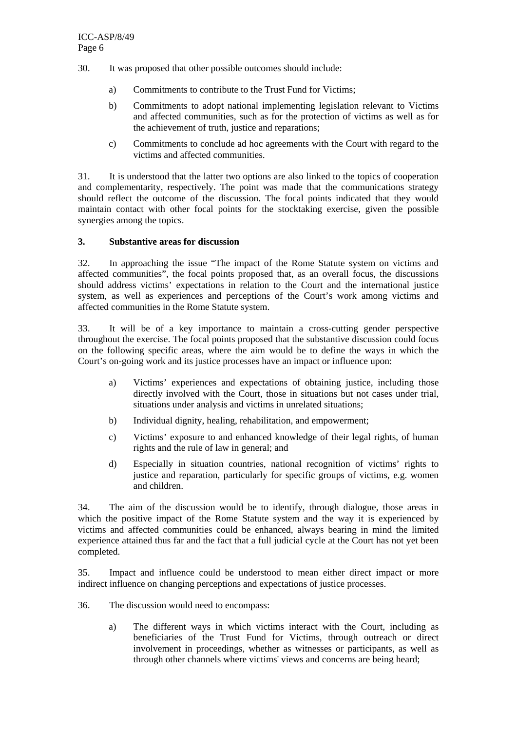- 30. It was proposed that other possible outcomes should include:
	- a) Commitments to contribute to the Trust Fund for Victims;
	- b) Commitments to adopt national implementing legislation relevant to Victims and affected communities, such as for the protection of victims as well as for the achievement of truth, justice and reparations;
	- c) Commitments to conclude ad hoc agreements with the Court with regard to the victims and affected communities.

31. It is understood that the latter two options are also linked to the topics of cooperation and complementarity, respectively. The point was made that the communications strategy should reflect the outcome of the discussion. The focal points indicated that they would maintain contact with other focal points for the stocktaking exercise, given the possible synergies among the topics.

#### **3. Substantive areas for discussion**

32. In approaching the issue "The impact of the Rome Statute system on victims and affected communities", the focal points proposed that, as an overall focus, the discussions should address victims' expectations in relation to the Court and the international justice system, as well as experiences and perceptions of the Court's work among victims and affected communities in the Rome Statute system.

33. It will be of a key importance to maintain a cross-cutting gender perspective throughout the exercise. The focal points proposed that the substantive discussion could focus on the following specific areas, where the aim would be to define the ways in which the Court's on-going work and its justice processes have an impact or influence upon:

- a) Victims' experiences and expectations of obtaining justice, including those directly involved with the Court, those in situations but not cases under trial, situations under analysis and victims in unrelated situations;
- b) Individual dignity, healing, rehabilitation, and empowerment;
- c) Victims' exposure to and enhanced knowledge of their legal rights, of human rights and the rule of law in general; and
- d) Especially in situation countries, national recognition of victims' rights to justice and reparation, particularly for specific groups of victims, e.g. women and children.

34. The aim of the discussion would be to identify, through dialogue, those areas in which the positive impact of the Rome Statute system and the way it is experienced by victims and affected communities could be enhanced, always bearing in mind the limited experience attained thus far and the fact that a full judicial cycle at the Court has not yet been completed.

35. Impact and influence could be understood to mean either direct impact or more indirect influence on changing perceptions and expectations of justice processes.

- 36. The discussion would need to encompass:
	- a) The different ways in which victims interact with the Court, including as beneficiaries of the Trust Fund for Victims, through outreach or direct involvement in proceedings, whether as witnesses or participants, as well as through other channels where victims' views and concerns are being heard;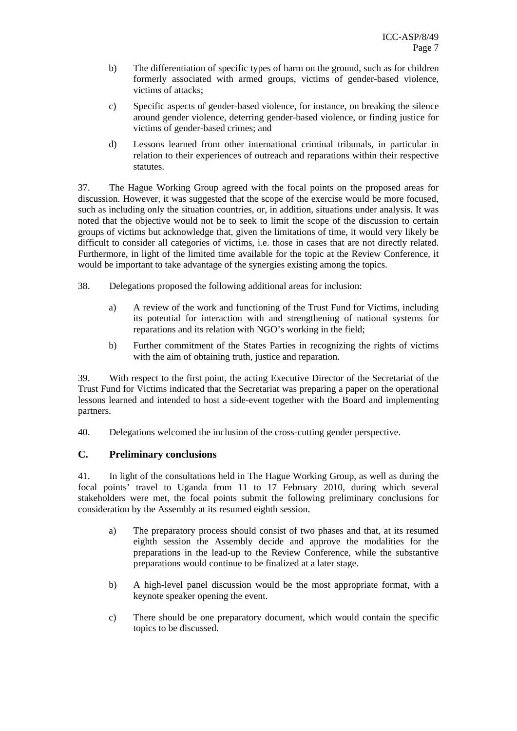- b) The differentiation of specific types of harm on the ground, such as for children formerly associated with armed groups, victims of gender-based violence, victims of attacks;
- c) Specific aspects of gender-based violence, for instance, on breaking the silence around gender violence, deterring gender-based violence, or finding justice for victims of gender-based crimes; and
- d) Lessons learned from other international criminal tribunals, in particular in relation to their experiences of outreach and reparations within their respective statutes.

37. The Hague Working Group agreed with the focal points on the proposed areas for discussion. However, it was suggested that the scope of the exercise would be more focused, such as including only the situation countries, or, in addition, situations under analysis. It was noted that the objective would not be to seek to limit the scope of the discussion to certain groups of victims but acknowledge that, given the limitations of time, it would very likely be difficult to consider all categories of victims, i.e. those in cases that are not directly related. Furthermore, in light of the limited time available for the topic at the Review Conference, it would be important to take advantage of the synergies existing among the topics.

- 38. Delegations proposed the following additional areas for inclusion:
	- a) A review of the work and functioning of the Trust Fund for Victims, including its potential for interaction with and strengthening of national systems for reparations and its relation with NGO's working in the field;
	- b) Further commitment of the States Parties in recognizing the rights of victims with the aim of obtaining truth, justice and reparation.

39. With respect to the first point, the acting Executive Director of the Secretariat of the Trust Fund for Victims indicated that the Secretariat was preparing a paper on the operational lessons learned and intended to host a side-event together with the Board and implementing partners.

40. Delegations welcomed the inclusion of the cross-cutting gender perspective.

### **C. Preliminary conclusions**

41. In light of the consultations held in The Hague Working Group, as well as during the focal points' travel to Uganda from 11 to 17 February 2010, during which several stakeholders were met, the focal points submit the following preliminary conclusions for consideration by the Assembly at its resumed eighth session.

- a) The preparatory process should consist of two phases and that, at its resumed eighth session the Assembly decide and approve the modalities for the preparations in the lead-up to the Review Conference, while the substantive preparations would continue to be finalized at a later stage.
- b) A high-level panel discussion would be the most appropriate format, with a keynote speaker opening the event.
- c) There should be one preparatory document, which would contain the specific topics to be discussed.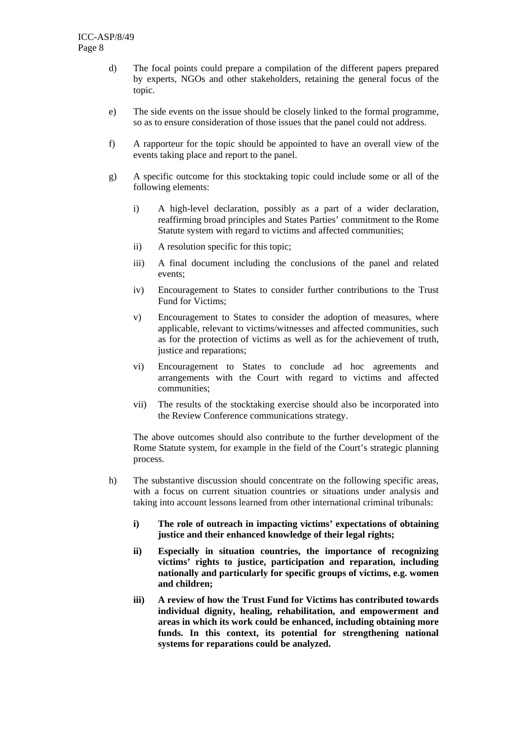- d) The focal points could prepare a compilation of the different papers prepared by experts, NGOs and other stakeholders, retaining the general focus of the topic.
- e) The side events on the issue should be closely linked to the formal programme, so as to ensure consideration of those issues that the panel could not address.
- f) A rapporteur for the topic should be appointed to have an overall view of the events taking place and report to the panel.
- g) A specific outcome for this stocktaking topic could include some or all of the following elements:
	- i) A high-level declaration, possibly as a part of a wider declaration, reaffirming broad principles and States Parties' commitment to the Rome Statute system with regard to victims and affected communities;
	- ii) A resolution specific for this topic;
	- iii) A final document including the conclusions of the panel and related events;
	- iv) Encouragement to States to consider further contributions to the Trust Fund for Victims;
	- v) Encouragement to States to consider the adoption of measures, where applicable, relevant to victims/witnesses and affected communities, such as for the protection of victims as well as for the achievement of truth, justice and reparations;
	- vi) Encouragement to States to conclude ad hoc agreements and arrangements with the Court with regard to victims and affected communities;
	- vii) The results of the stocktaking exercise should also be incorporated into the Review Conference communications strategy.

The above outcomes should also contribute to the further development of the Rome Statute system, for example in the field of the Court's strategic planning process.

- h) The substantive discussion should concentrate on the following specific areas, with a focus on current situation countries or situations under analysis and taking into account lessons learned from other international criminal tribunals:
	- **i) The role of outreach in impacting victims' expectations of obtaining justice and their enhanced knowledge of their legal rights;**
	- **ii) Especially in situation countries, the importance of recognizing victims' rights to justice, participation and reparation, including nationally and particularly for specific groups of victims, e.g. women and children;**
	- **iii) A review of how the Trust Fund for Victims has contributed towards individual dignity, healing, rehabilitation, and empowerment and areas in which its work could be enhanced, including obtaining more funds. In this context, its potential for strengthening national systems for reparations could be analyzed.**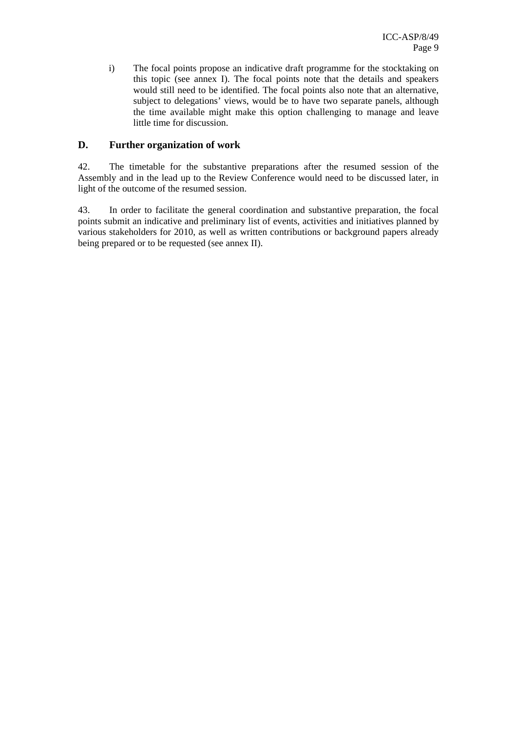i) The focal points propose an indicative draft programme for the stocktaking on this topic (see annex I). The focal points note that the details and speakers would still need to be identified. The focal points also note that an alternative, subject to delegations' views, would be to have two separate panels, although the time available might make this option challenging to manage and leave little time for discussion.

### **D. Further organization of work**

42. The timetable for the substantive preparations after the resumed session of the Assembly and in the lead up to the Review Conference would need to be discussed later, in light of the outcome of the resumed session.

43. In order to facilitate the general coordination and substantive preparation, the focal points submit an indicative and preliminary list of events, activities and initiatives planned by various stakeholders for 2010, as well as written contributions or background papers already being prepared or to be requested (see annex II).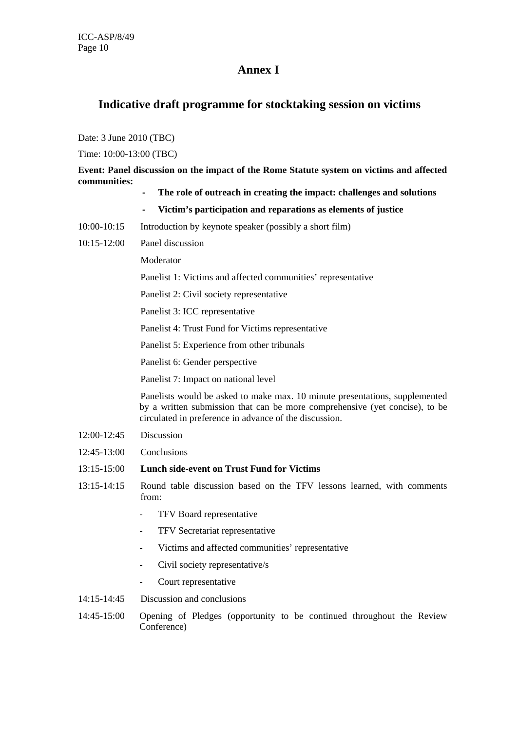# **Annex I**

## **Indicative draft programme for stocktaking session on victims**

Date: 3 June 2010 (TBC)

Time: 10:00-13:00 (TBC)

**Event: Panel discussion on the impact of the Rome Statute system on victims and affected communities:** 

- **‐ The role of outreach in creating the impact: challenges and solutions**
- **‐ Victim's participation and reparations as elements of justice**
- 10:00-10:15 Introduction by keynote speaker (possibly a short film)
- 10:15-12:00 Panel discussion

Moderator

Panelist 1: Victims and affected communities' representative

Panelist 2: Civil society representative

Panelist 3: ICC representative

Panelist 4: Trust Fund for Victims representative

Panelist 5: Experience from other tribunals

Panelist 6: Gender perspective

Panelist 7: Impact on national level

 Panelists would be asked to make max. 10 minute presentations, supplemented by a written submission that can be more comprehensive (yet concise), to be circulated in preference in advance of the discussion.

- 12:00-12:45 Discussion
- 12:45-13:00 Conclusions
- 13:15-15:00 **Lunch side-event on Trust Fund for Victims**
- 13:15-14:15 Round table discussion based on the TFV lessons learned, with comments from:
	- TFV Board representative
	- TFV Secretariat representative
	- Victims and affected communities' representative
	- Civil society representative/s
	- Court representative
- 14:15-14:45 Discussion and conclusions
- 14:45-15:00 Opening of Pledges (opportunity to be continued throughout the Review Conference)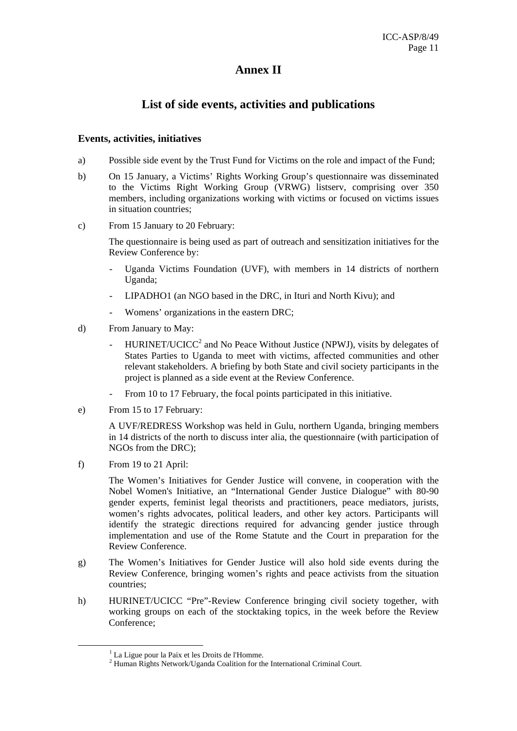# **Annex II**

# **List of side events, activities and publications**

#### **Events, activities, initiatives**

- a) Possible side event by the Trust Fund for Victims on the role and impact of the Fund;
- b) On 15 January, a Victims' Rights Working Group's questionnaire was disseminated to the Victims Right Working Group (VRWG) listserv, comprising over 350 members, including organizations working with victims or focused on victims issues in situation countries;
- c) From 15 January to 20 February:

The questionnaire is being used as part of outreach and sensitization initiatives for the Review Conference by:

- Uganda Victims Foundation (UVF), with members in 14 districts of northern Uganda;
- LIPADHO1 (an NGO based in the DRC, in Ituri and North Kivu); and
- Womens' organizations in the eastern DRC;
- d) From January to May:
	- HURINET/UCICC<sup>2</sup> and No Peace Without Justice (NPWJ), visits by delegates of States Parties to Uganda to meet with victims, affected communities and other relevant stakeholders. A briefing by both State and civil society participants in the project is planned as a side event at the Review Conference.
	- From 10 to 17 February, the focal points participated in this initiative.
- e) From 15 to 17 February:

A UVF/REDRESS Workshop was held in Gulu, northern Uganda, bringing members in 14 districts of the north to discuss inter alia, the questionnaire (with participation of NGOs from the DRC);

f) From 19 to 21 April:

The Women's Initiatives for Gender Justice will convene, in cooperation with the Nobel Women's Initiative, an "International Gender Justice Dialogue" with 80-90 gender experts, feminist legal theorists and practitioners, peace mediators, jurists, women's rights advocates, political leaders, and other key actors. Participants will identify the strategic directions required for advancing gender justice through implementation and use of the Rome Statute and the Court in preparation for the Review Conference.

- g) The Women's Initiatives for Gender Justice will also hold side events during the Review Conference, bringing women's rights and peace activists from the situation countries;
- h) HURINET/UCICC "Pre"-Review Conference bringing civil society together, with working groups on each of the stocktaking topics, in the week before the Review Conference;

 $\frac{1}{1}$  $<sup>1</sup>$  La Ligue pour la Paix et les Droits de l'Homme.</sup>

 $2$  Human Rights Network/Uganda Coalition for the International Criminal Court.